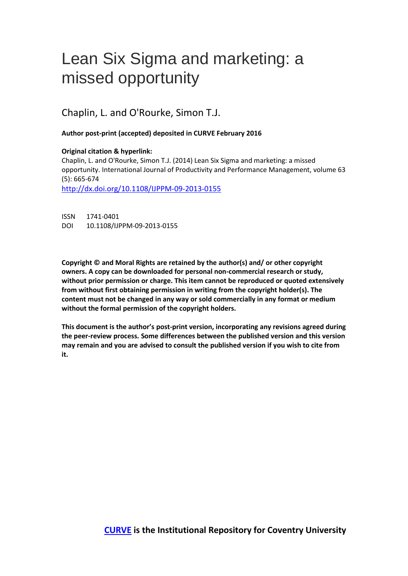# Lean Six Sigma and marketing: a missed opportunity

Chaplin, L. and O'Rourke, Simon T.J.

# **Author post-print (accepted) deposited in CURVE February 2016**

# **Original citation & hyperlink:**

Chaplin, L. and O'Rourke, Simon T.J. (2014) Lean Six Sigma and marketing: a missed opportunity. International Journal of Productivity and Performance Management, volume 63 (5): 665-674

[http://dx.doi.org/1](http://www.rhine.org/resources/journal-of-parapsychology/archived-issues/292-volume-79-number-1-spring-2015.html)0.1108/IJPPM-09-2013-0155

ISSN 1741-0401 DOI 10.1108/IJPPM-09-2013-0155

**Copyright © and Moral Rights are retained by the author(s) and/ or other copyright owners. A copy can be downloaded for personal non-commercial research or study, without prior permission or charge. This item cannot be reproduced or quoted extensively from without first obtaining permission in writing from the copyright holder(s). The content must not be changed in any way or sold commercially in any format or medium without the formal permission of the copyright holders.** 

**This document is the author's post-print version, incorporating any revisions agreed during the peer-review process. Some differences between the published version and this version may remain and you are advised to consult the published version if you wish to cite from it.**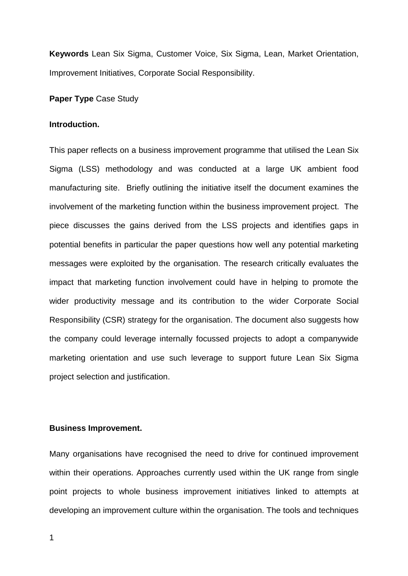**Keywords** Lean Six Sigma, Customer Voice, Six Sigma, Lean, Market Orientation, Improvement Initiatives, Corporate Social Responsibility.

# **Paper Type** Case Study

# **Introduction.**

This paper reflects on a business improvement programme that utilised the Lean Six Sigma (LSS) methodology and was conducted at a large UK ambient food manufacturing site. Briefly outlining the initiative itself the document examines the involvement of the marketing function within the business improvement project. The piece discusses the gains derived from the LSS projects and identifies gaps in potential benefits in particular the paper questions how well any potential marketing messages were exploited by the organisation. The research critically evaluates the impact that marketing function involvement could have in helping to promote the wider productivity message and its contribution to the wider Corporate Social Responsibility (CSR) strategy for the organisation. The document also suggests how the company could leverage internally focussed projects to adopt a companywide marketing orientation and use such leverage to support future Lean Six Sigma project selection and justification.

#### **Business Improvement.**

Many organisations have recognised the need to drive for continued improvement within their operations. Approaches currently used within the UK range from single point projects to whole business improvement initiatives linked to attempts at developing an improvement culture within the organisation. The tools and techniques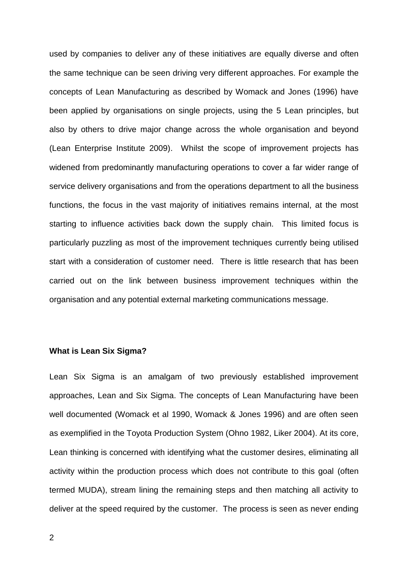used by companies to deliver any of these initiatives are equally diverse and often the same technique can be seen driving very different approaches. For example the concepts of Lean Manufacturing as described by Womack and Jones (1996) have been applied by organisations on single projects, using the 5 Lean principles, but also by others to drive major change across the whole organisation and beyond (Lean Enterprise Institute 2009). Whilst the scope of improvement projects has widened from predominantly manufacturing operations to cover a far wider range of service delivery organisations and from the operations department to all the business functions, the focus in the vast majority of initiatives remains internal, at the most starting to influence activities back down the supply chain. This limited focus is particularly puzzling as most of the improvement techniques currently being utilised start with a consideration of customer need. There is little research that has been carried out on the link between business improvement techniques within the organisation and any potential external marketing communications message.

# **What is Lean Six Sigma?**

Lean Six Sigma is an amalgam of two previously established improvement approaches, Lean and Six Sigma. The concepts of Lean Manufacturing have been well documented (Womack et al 1990, Womack & Jones 1996) and are often seen as exemplified in the Toyota Production System (Ohno 1982, Liker 2004). At its core, Lean thinking is concerned with identifying what the customer desires, eliminating all activity within the production process which does not contribute to this goal (often termed MUDA), stream lining the remaining steps and then matching all activity to deliver at the speed required by the customer. The process is seen as never ending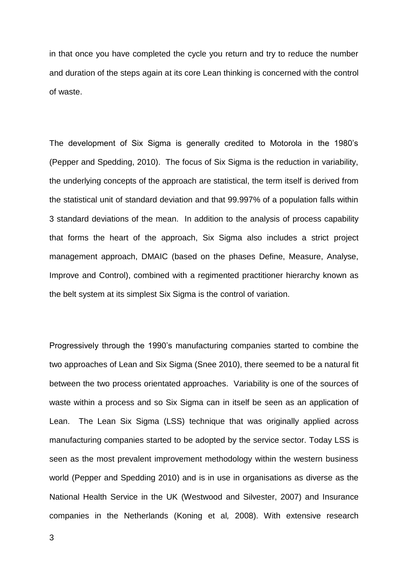in that once you have completed the cycle you return and try to reduce the number and duration of the steps again at its core Lean thinking is concerned with the control of waste.

The development of Six Sigma is generally credited to Motorola in the 1980's (Pepper and Spedding, 2010). The focus of Six Sigma is the reduction in variability, the underlying concepts of the approach are statistical, the term itself is derived from the statistical unit of standard deviation and that 99.997% of a population falls within 3 standard deviations of the mean. In addition to the analysis of process capability that forms the heart of the approach, Six Sigma also includes a strict project management approach, DMAIC (based on the phases Define, Measure, Analyse, Improve and Control), combined with a regimented practitioner hierarchy known as the belt system at its simplest Six Sigma is the control of variation.

Progressively through the 1990's manufacturing companies started to combine the two approaches of Lean and Six Sigma (Snee 2010), there seemed to be a natural fit between the two process orientated approaches. Variability is one of the sources of waste within a process and so Six Sigma can in itself be seen as an application of Lean. The Lean Six Sigma (LSS) technique that was originally applied across manufacturing companies started to be adopted by the service sector. Today LSS is seen as the most prevalent improvement methodology within the western business world (Pepper and Spedding 2010) and is in use in organisations as diverse as the National Health Service in the UK (Westwood and Silvester, 2007) and Insurance companies in the Netherlands (Koning et al*,* 2008). With extensive research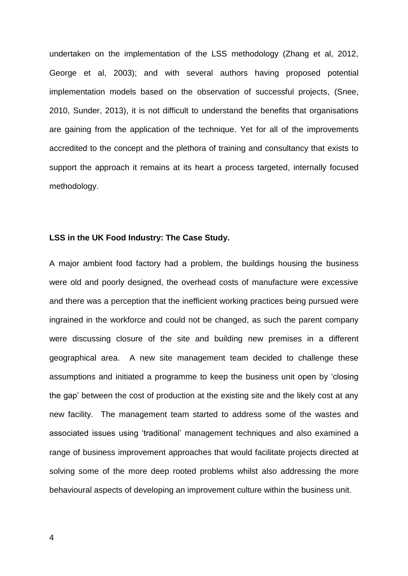undertaken on the implementation of the LSS methodology (Zhang et al, 2012, George et al, 2003); and with several authors having proposed potential implementation models based on the observation of successful projects, (Snee, 2010, Sunder, 2013), it is not difficult to understand the benefits that organisations are gaining from the application of the technique. Yet for all of the improvements accredited to the concept and the plethora of training and consultancy that exists to support the approach it remains at its heart a process targeted, internally focused methodology.

# **LSS in the UK Food Industry: The Case Study.**

A major ambient food factory had a problem, the buildings housing the business were old and poorly designed, the overhead costs of manufacture were excessive and there was a perception that the inefficient working practices being pursued were ingrained in the workforce and could not be changed, as such the parent company were discussing closure of the site and building new premises in a different geographical area. A new site management team decided to challenge these assumptions and initiated a programme to keep the business unit open by 'closing the gap' between the cost of production at the existing site and the likely cost at any new facility. The management team started to address some of the wastes and associated issues using 'traditional' management techniques and also examined a range of business improvement approaches that would facilitate projects directed at solving some of the more deep rooted problems whilst also addressing the more behavioural aspects of developing an improvement culture within the business unit.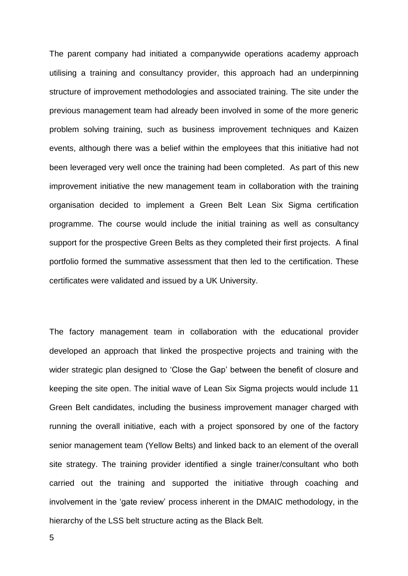The parent company had initiated a companywide operations academy approach utilising a training and consultancy provider, this approach had an underpinning structure of improvement methodologies and associated training. The site under the previous management team had already been involved in some of the more generic problem solving training, such as business improvement techniques and Kaizen events, although there was a belief within the employees that this initiative had not been leveraged very well once the training had been completed. As part of this new improvement initiative the new management team in collaboration with the training organisation decided to implement a Green Belt Lean Six Sigma certification programme. The course would include the initial training as well as consultancy support for the prospective Green Belts as they completed their first projects. A final portfolio formed the summative assessment that then led to the certification. These certificates were validated and issued by a UK University.

The factory management team in collaboration with the educational provider developed an approach that linked the prospective projects and training with the wider strategic plan designed to 'Close the Gap' between the benefit of closure and keeping the site open. The initial wave of Lean Six Sigma projects would include 11 Green Belt candidates, including the business improvement manager charged with running the overall initiative, each with a project sponsored by one of the factory senior management team (Yellow Belts) and linked back to an element of the overall site strategy. The training provider identified a single trainer/consultant who both carried out the training and supported the initiative through coaching and involvement in the 'gate review' process inherent in the DMAIC methodology, in the hierarchy of the LSS belt structure acting as the Black Belt.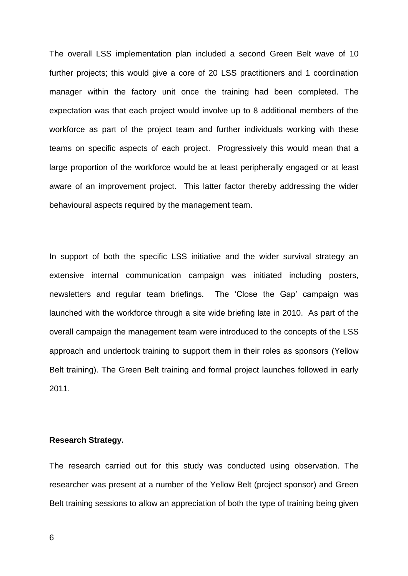The overall LSS implementation plan included a second Green Belt wave of 10 further projects; this would give a core of 20 LSS practitioners and 1 coordination manager within the factory unit once the training had been completed. The expectation was that each project would involve up to 8 additional members of the workforce as part of the project team and further individuals working with these teams on specific aspects of each project. Progressively this would mean that a large proportion of the workforce would be at least peripherally engaged or at least aware of an improvement project. This latter factor thereby addressing the wider behavioural aspects required by the management team.

In support of both the specific LSS initiative and the wider survival strategy an extensive internal communication campaign was initiated including posters, newsletters and regular team briefings. The 'Close the Gap' campaign was launched with the workforce through a site wide briefing late in 2010. As part of the overall campaign the management team were introduced to the concepts of the LSS approach and undertook training to support them in their roles as sponsors (Yellow Belt training). The Green Belt training and formal project launches followed in early 2011.

# **Research Strategy.**

The research carried out for this study was conducted using observation. The researcher was present at a number of the Yellow Belt (project sponsor) and Green Belt training sessions to allow an appreciation of both the type of training being given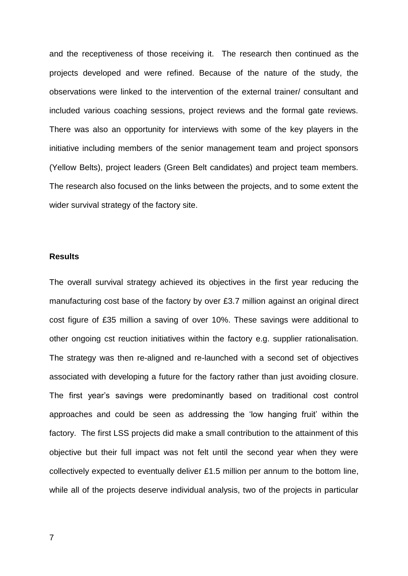and the receptiveness of those receiving it. The research then continued as the projects developed and were refined. Because of the nature of the study, the observations were linked to the intervention of the external trainer/ consultant and included various coaching sessions, project reviews and the formal gate reviews. There was also an opportunity for interviews with some of the key players in the initiative including members of the senior management team and project sponsors (Yellow Belts), project leaders (Green Belt candidates) and project team members. The research also focused on the links between the projects, and to some extent the wider survival strategy of the factory site.

## **Results**

The overall survival strategy achieved its objectives in the first year reducing the manufacturing cost base of the factory by over £3.7 million against an original direct cost figure of £35 million a saving of over 10%. These savings were additional to other ongoing cst reuction initiatives within the factory e.g. supplier rationalisation. The strategy was then re-aligned and re-launched with a second set of objectives associated with developing a future for the factory rather than just avoiding closure. The first year's savings were predominantly based on traditional cost control approaches and could be seen as addressing the 'low hanging fruit' within the factory. The first LSS projects did make a small contribution to the attainment of this objective but their full impact was not felt until the second year when they were collectively expected to eventually deliver £1.5 million per annum to the bottom line, while all of the projects deserve individual analysis, two of the projects in particular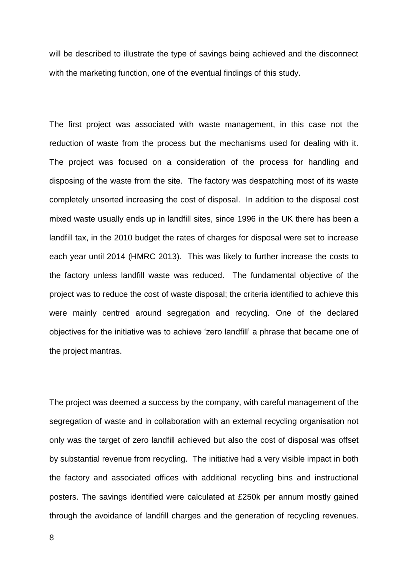will be described to illustrate the type of savings being achieved and the disconnect with the marketing function, one of the eventual findings of this study.

The first project was associated with waste management, in this case not the reduction of waste from the process but the mechanisms used for dealing with it. The project was focused on a consideration of the process for handling and disposing of the waste from the site. The factory was despatching most of its waste completely unsorted increasing the cost of disposal. In addition to the disposal cost mixed waste usually ends up in landfill sites, since 1996 in the UK there has been a landfill tax, in the 2010 budget the rates of charges for disposal were set to increase each year until 2014 (HMRC 2013). This was likely to further increase the costs to the factory unless landfill waste was reduced. The fundamental objective of the project was to reduce the cost of waste disposal; the criteria identified to achieve this were mainly centred around segregation and recycling. One of the declared objectives for the initiative was to achieve 'zero landfill' a phrase that became one of the project mantras.

The project was deemed a success by the company, with careful management of the segregation of waste and in collaboration with an external recycling organisation not only was the target of zero landfill achieved but also the cost of disposal was offset by substantial revenue from recycling. The initiative had a very visible impact in both the factory and associated offices with additional recycling bins and instructional posters. The savings identified were calculated at £250k per annum mostly gained through the avoidance of landfill charges and the generation of recycling revenues.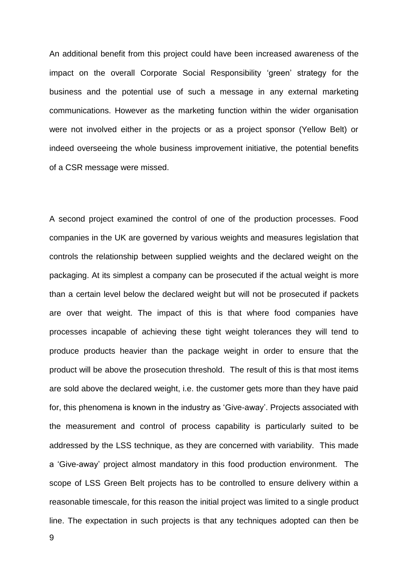An additional benefit from this project could have been increased awareness of the impact on the overall Corporate Social Responsibility 'green' strategy for the business and the potential use of such a message in any external marketing communications. However as the marketing function within the wider organisation were not involved either in the projects or as a project sponsor (Yellow Belt) or indeed overseeing the whole business improvement initiative, the potential benefits of a CSR message were missed.

A second project examined the control of one of the production processes. Food companies in the UK are governed by various weights and measures legislation that controls the relationship between supplied weights and the declared weight on the packaging. At its simplest a company can be prosecuted if the actual weight is more than a certain level below the declared weight but will not be prosecuted if packets are over that weight. The impact of this is that where food companies have processes incapable of achieving these tight weight tolerances they will tend to produce products heavier than the package weight in order to ensure that the product will be above the prosecution threshold. The result of this is that most items are sold above the declared weight, i.e. the customer gets more than they have paid for, this phenomena is known in the industry as 'Give-away'. Projects associated with the measurement and control of process capability is particularly suited to be addressed by the LSS technique, as they are concerned with variability. This made a 'Give-away' project almost mandatory in this food production environment. The scope of LSS Green Belt projects has to be controlled to ensure delivery within a reasonable timescale, for this reason the initial project was limited to a single product line. The expectation in such projects is that any techniques adopted can then be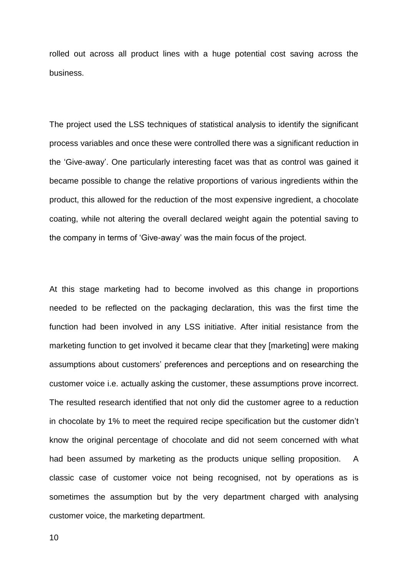rolled out across all product lines with a huge potential cost saving across the business.

The project used the LSS techniques of statistical analysis to identify the significant process variables and once these were controlled there was a significant reduction in the 'Give-away'. One particularly interesting facet was that as control was gained it became possible to change the relative proportions of various ingredients within the product, this allowed for the reduction of the most expensive ingredient, a chocolate coating, while not altering the overall declared weight again the potential saving to the company in terms of 'Give-away' was the main focus of the project.

At this stage marketing had to become involved as this change in proportions needed to be reflected on the packaging declaration, this was the first time the function had been involved in any LSS initiative. After initial resistance from the marketing function to get involved it became clear that they [marketing] were making assumptions about customers' preferences and perceptions and on researching the customer voice i.e. actually asking the customer, these assumptions prove incorrect. The resulted research identified that not only did the customer agree to a reduction in chocolate by 1% to meet the required recipe specification but the customer didn't know the original percentage of chocolate and did not seem concerned with what had been assumed by marketing as the products unique selling proposition. A classic case of customer voice not being recognised, not by operations as is sometimes the assumption but by the very department charged with analysing customer voice, the marketing department.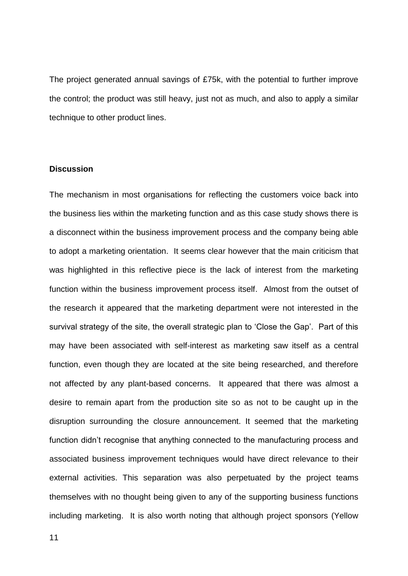The project generated annual savings of £75k, with the potential to further improve the control; the product was still heavy, just not as much, and also to apply a similar technique to other product lines.

# **Discussion**

The mechanism in most organisations for reflecting the customers voice back into the business lies within the marketing function and as this case study shows there is a disconnect within the business improvement process and the company being able to adopt a marketing orientation. It seems clear however that the main criticism that was highlighted in this reflective piece is the lack of interest from the marketing function within the business improvement process itself. Almost from the outset of the research it appeared that the marketing department were not interested in the survival strategy of the site, the overall strategic plan to 'Close the Gap'. Part of this may have been associated with self-interest as marketing saw itself as a central function, even though they are located at the site being researched, and therefore not affected by any plant-based concerns. It appeared that there was almost a desire to remain apart from the production site so as not to be caught up in the disruption surrounding the closure announcement. It seemed that the marketing function didn't recognise that anything connected to the manufacturing process and associated business improvement techniques would have direct relevance to their external activities. This separation was also perpetuated by the project teams themselves with no thought being given to any of the supporting business functions including marketing. It is also worth noting that although project sponsors (Yellow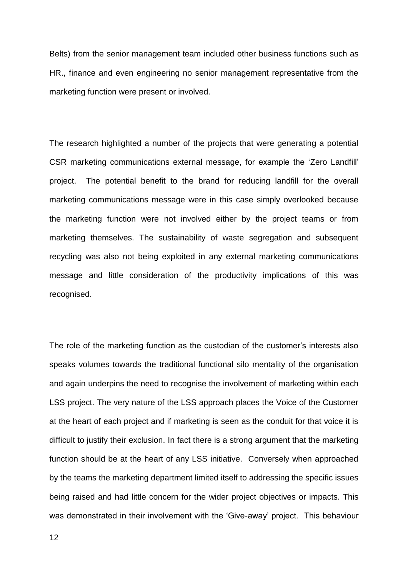Belts) from the senior management team included other business functions such as HR., finance and even engineering no senior management representative from the marketing function were present or involved.

The research highlighted a number of the projects that were generating a potential CSR marketing communications external message, for example the 'Zero Landfill' project. The potential benefit to the brand for reducing landfill for the overall marketing communications message were in this case simply overlooked because the marketing function were not involved either by the project teams or from marketing themselves. The sustainability of waste segregation and subsequent recycling was also not being exploited in any external marketing communications message and little consideration of the productivity implications of this was recognised.

The role of the marketing function as the custodian of the customer's interests also speaks volumes towards the traditional functional silo mentality of the organisation and again underpins the need to recognise the involvement of marketing within each LSS project. The very nature of the LSS approach places the Voice of the Customer at the heart of each project and if marketing is seen as the conduit for that voice it is difficult to justify their exclusion. In fact there is a strong argument that the marketing function should be at the heart of any LSS initiative. Conversely when approached by the teams the marketing department limited itself to addressing the specific issues being raised and had little concern for the wider project objectives or impacts. This was demonstrated in their involvement with the 'Give-away' project. This behaviour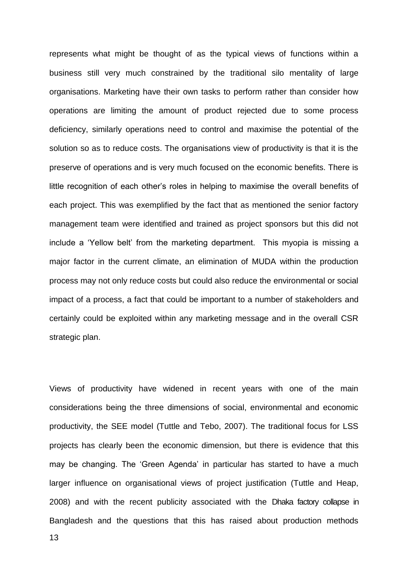represents what might be thought of as the typical views of functions within a business still very much constrained by the traditional silo mentality of large organisations. Marketing have their own tasks to perform rather than consider how operations are limiting the amount of product rejected due to some process deficiency, similarly operations need to control and maximise the potential of the solution so as to reduce costs. The organisations view of productivity is that it is the preserve of operations and is very much focused on the economic benefits. There is little recognition of each other's roles in helping to maximise the overall benefits of each project. This was exemplified by the fact that as mentioned the senior factory management team were identified and trained as project sponsors but this did not include a 'Yellow belt' from the marketing department. This myopia is missing a major factor in the current climate, an elimination of MUDA within the production process may not only reduce costs but could also reduce the environmental or social impact of a process, a fact that could be important to a number of stakeholders and certainly could be exploited within any marketing message and in the overall CSR strategic plan.

Views of productivity have widened in recent years with one of the main considerations being the three dimensions of social, environmental and economic productivity, the SEE model (Tuttle and Tebo, 2007). The traditional focus for LSS projects has clearly been the economic dimension, but there is evidence that this may be changing. The 'Green Agenda' in particular has started to have a much larger influence on organisational views of project justification (Tuttle and Heap, 2008) and with the recent publicity associated with the Dhaka factory collapse in Bangladesh and the questions that this has raised about production methods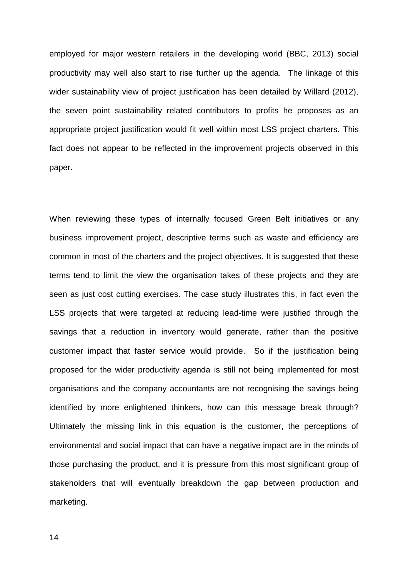employed for major western retailers in the developing world (BBC, 2013) social productivity may well also start to rise further up the agenda. The linkage of this wider sustainability view of project justification has been detailed by Willard (2012), the seven point sustainability related contributors to profits he proposes as an appropriate project justification would fit well within most LSS project charters. This fact does not appear to be reflected in the improvement projects observed in this paper.

When reviewing these types of internally focused Green Belt initiatives or any business improvement project, descriptive terms such as waste and efficiency are common in most of the charters and the project objectives. It is suggested that these terms tend to limit the view the organisation takes of these projects and they are seen as just cost cutting exercises. The case study illustrates this, in fact even the LSS projects that were targeted at reducing lead-time were justified through the savings that a reduction in inventory would generate, rather than the positive customer impact that faster service would provide. So if the justification being proposed for the wider productivity agenda is still not being implemented for most organisations and the company accountants are not recognising the savings being identified by more enlightened thinkers, how can this message break through? Ultimately the missing link in this equation is the customer, the perceptions of environmental and social impact that can have a negative impact are in the minds of those purchasing the product, and it is pressure from this most significant group of stakeholders that will eventually breakdown the gap between production and marketing.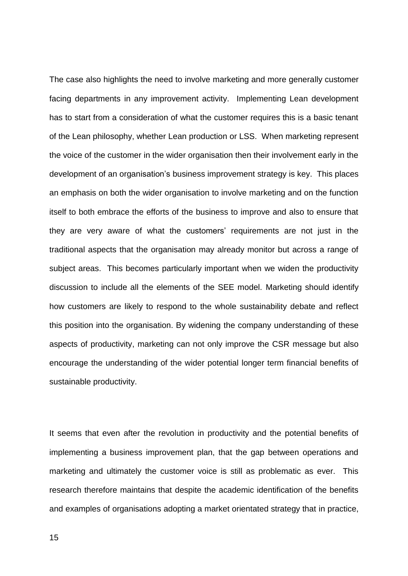The case also highlights the need to involve marketing and more generally customer facing departments in any improvement activity. Implementing Lean development has to start from a consideration of what the customer requires this is a basic tenant of the Lean philosophy, whether Lean production or LSS. When marketing represent the voice of the customer in the wider organisation then their involvement early in the development of an organisation's business improvement strategy is key. This places an emphasis on both the wider organisation to involve marketing and on the function itself to both embrace the efforts of the business to improve and also to ensure that they are very aware of what the customers' requirements are not just in the traditional aspects that the organisation may already monitor but across a range of subject areas. This becomes particularly important when we widen the productivity discussion to include all the elements of the SEE model. Marketing should identify how customers are likely to respond to the whole sustainability debate and reflect this position into the organisation. By widening the company understanding of these aspects of productivity, marketing can not only improve the CSR message but also encourage the understanding of the wider potential longer term financial benefits of sustainable productivity.

It seems that even after the revolution in productivity and the potential benefits of implementing a business improvement plan, that the gap between operations and marketing and ultimately the customer voice is still as problematic as ever. This research therefore maintains that despite the academic identification of the benefits and examples of organisations adopting a market orientated strategy that in practice,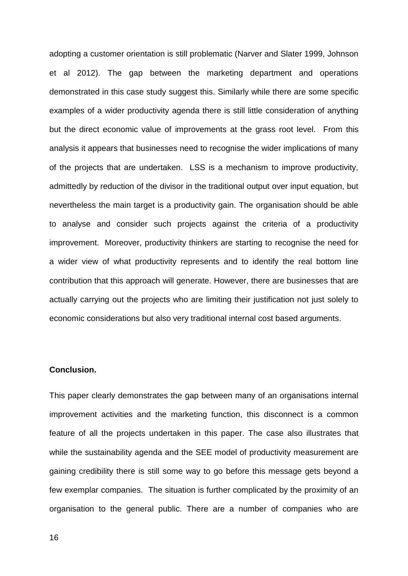adopting a customer orientation is still problematic (Narver and Slater 1999, Johnson et al 2012). The gap between the marketing department and operations demonstrated in this case study suggest this. Similarly while there are some specific examples of a wider productivity agenda there is still little consideration of anything but the direct economic value of improvements at the grass root level. From this analysis it appears that businesses need to recognise the wider implications of many of the projects that are undertaken. LSS is a mechanism to improve productivity, admittedly by reduction of the divisor in the traditional output over input equation, but nevertheless the main target is a productivity gain. The organisation should be able to analyse and consider such projects against the criteria of a productivity improvement. Moreover, productivity thinkers are starting to recognise the need for a wider view of what productivity represents and to identify the real bottom line contribution that this approach will generate. However, there are businesses that are actually carrying out the projects who are limiting their justification not just solely to economic considerations but also very traditional internal cost based arguments.

#### **Conclusion.**

This paper clearly demonstrates the gap between many of an organisations internal improvement activities and the marketing function, this disconnect is a common feature of all the projects undertaken in this paper. The case also illustrates that while the sustainability agenda and the SEE model of productivity measurement are gaining credibility there is still some way to go before this message gets beyond a few exemplar companies. The situation is further complicated by the proximity of an organisation to the general public. There are a number of companies who are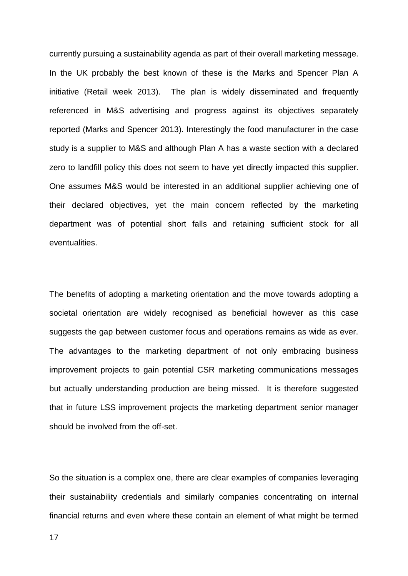currently pursuing a sustainability agenda as part of their overall marketing message. In the UK probably the best known of these is the Marks and Spencer Plan A initiative (Retail week 2013). The plan is widely disseminated and frequently referenced in M&S advertising and progress against its objectives separately reported (Marks and Spencer 2013). Interestingly the food manufacturer in the case study is a supplier to M&S and although Plan A has a waste section with a declared zero to landfill policy this does not seem to have yet directly impacted this supplier. One assumes M&S would be interested in an additional supplier achieving one of their declared objectives, yet the main concern reflected by the marketing department was of potential short falls and retaining sufficient stock for all eventualities.

The benefits of adopting a marketing orientation and the move towards adopting a societal orientation are widely recognised as beneficial however as this case suggests the gap between customer focus and operations remains as wide as ever. The advantages to the marketing department of not only embracing business improvement projects to gain potential CSR marketing communications messages but actually understanding production are being missed. It is therefore suggested that in future LSS improvement projects the marketing department senior manager should be involved from the off-set.

So the situation is a complex one, there are clear examples of companies leveraging their sustainability credentials and similarly companies concentrating on internal financial returns and even where these contain an element of what might be termed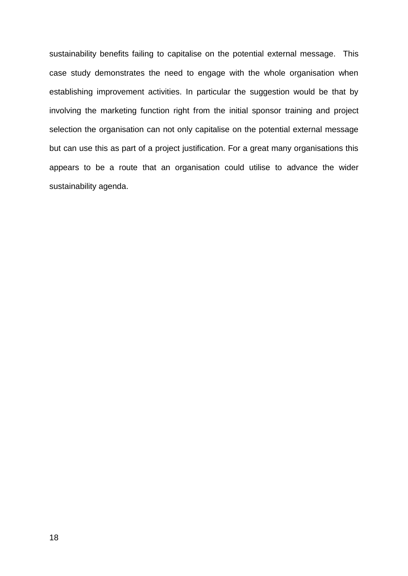sustainability benefits failing to capitalise on the potential external message. This case study demonstrates the need to engage with the whole organisation when establishing improvement activities. In particular the suggestion would be that by involving the marketing function right from the initial sponsor training and project selection the organisation can not only capitalise on the potential external message but can use this as part of a project justification. For a great many organisations this appears to be a route that an organisation could utilise to advance the wider sustainability agenda.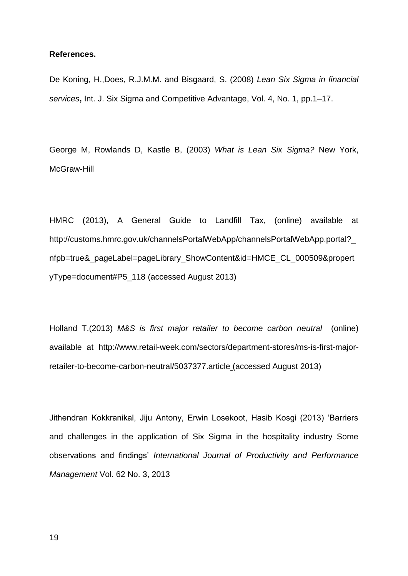#### **References.**

De Koning, H.,Does, R.J.M.M. and Bisgaard, S. (2008) *Lean Six Sigma in financial services***,** Int. J. Six Sigma and Competitive Advantage, Vol. 4, No. 1, pp.1–17.

George M, Rowlands D, Kastle B, (2003) *What is Lean Six Sigma?* New York, McGraw-Hill

HMRC (2013), A General Guide to Landfill Tax, (online) available at [http://customs.hmrc.gov.uk/channelsPortalWebApp/channelsPortalWebApp.portal?\\_](http://customs.hmrc.gov.uk/channelsPortalWebApp/channelsPortalWebApp.portal?_nfpb=true&_pageLabel=pageLibrary_ShowContent&id=HMCE_CL_000509&propertyType=document#P5_118) [nfpb=true&\\_pageLabel=pageLibrary\\_ShowContent&id=HMCE\\_CL\\_000509&propert](http://customs.hmrc.gov.uk/channelsPortalWebApp/channelsPortalWebApp.portal?_nfpb=true&_pageLabel=pageLibrary_ShowContent&id=HMCE_CL_000509&propertyType=document#P5_118) [yType=document#P5\\_118](http://customs.hmrc.gov.uk/channelsPortalWebApp/channelsPortalWebApp.portal?_nfpb=true&_pageLabel=pageLibrary_ShowContent&id=HMCE_CL_000509&propertyType=document#P5_118) (accessed August 2013)

Holland T.(2013) *M&S is first major retailer to become carbon neutral* (online) available at [http://www.retail-week.com/sectors/department-stores/ms-is-first-major](http://www.retail-week.com/sectors/department-stores/ms-is-first-major-retailer-to-become-carbon-neutral/5037377.article)[retailer-to-become-carbon-neutral/5037377.article](http://www.retail-week.com/sectors/department-stores/ms-is-first-major-retailer-to-become-carbon-neutral/5037377.article) (accessed August 2013)

Jithendran Kokkranikal, Jiju Antony, Erwin Losekoot, Hasib Kosgi (2013) 'Barriers and challenges in the application of Six Sigma in the hospitality industry Some observations and findings' *International Journal of Productivity and Performance Management* Vol. 62 No. 3, 2013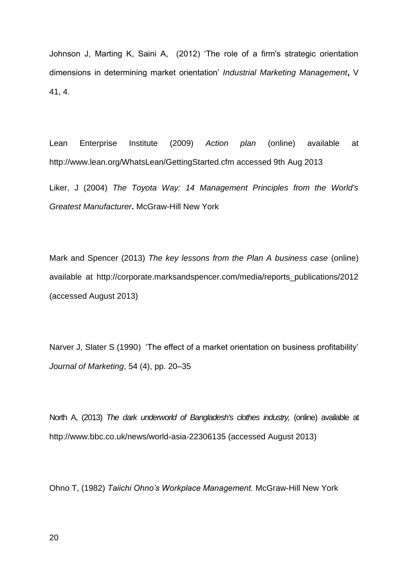Johnson J, Marting K, Saini A, (2012) 'The role of a firm's strategic orientation dimensions in determining market orientation' *Industrial Marketing Management***,** V 41, 4.

Lean Enterprise Institute (2009) *Action plan* (online) available at [http://www.lean.org/WhatsLean/GettingStarted.cfm accessed 9th Aug 2013](http://www.lean.org/WhatsLean/GettingStarted.cfm%20accessed%209th%20Aug%202013)

Liker, J (2004) *The Toyota Way: 14 Management Principles from the World's Greatest Manufacturer***.** McGraw-Hill New York

Mark and Spencer (2013) *The key lessons from the Plan A business case* (online) available at [http://corporate.marksandspencer.com/media/reports\\_publications/2012](http://corporate.marksandspencer.com/media/reports_publications/2012) (accessed August 2013)

[Narver J, Slater S \(1990\)](http://www.sciencedirect.com/science/article/pii/S0019850111001398#bb0420) 'The effect of a market orientation on business profitability' *Journal of Marketing*, 54 (4), pp. 20–35

North A, (2013) *The dark underworld of Bangladesh's clothes industry,* (online) available at <http://www.bbc.co.uk/news/world-asia-22306135> (accessed August 2013)

Ohno T, (1982) *Taiichi Ohno's Workplace Management.* McGraw-Hill New York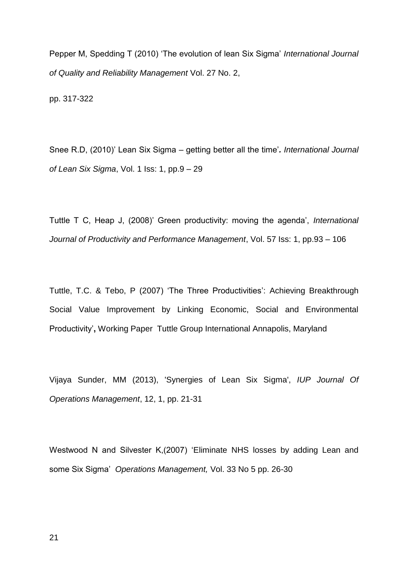Pepper M, Spedding T (2010) 'The evolution of lean Six Sigma' *International Journal of Quality and Reliability Management* Vol. 27 No. 2,

pp. 317-322

Snee R.D, (2010)' Lean Six Sigma – getting better all the time'*. International Journal of Lean Six Sigma*, Vol. 1 Iss: 1, pp.9 – 29

Tuttle T C, Heap J, (2008)' Green productivity: moving the agenda', *International Journal of Productivity and Performance Management*, Vol. 57 Iss: 1, pp.93 – 106

Tuttle, T.C. & Tebo, P (2007) 'The Three Productivities': Achieving Breakthrough Social Value Improvement by Linking Economic, Social and Environmental Productivity'**,** Working Paper Tuttle Group International Annapolis, Maryland

Vijaya Sunder, MM (2013), 'Synergies of Lean Six Sigma', *IUP Journal Of Operations Management*, 12, 1, pp. 21-31

Westwood N and Silvester K,(2007) 'Eliminate NHS losses by adding Lean and some Six Sigma' *Operations Management,* Vol. 33 No 5 pp. 26-30